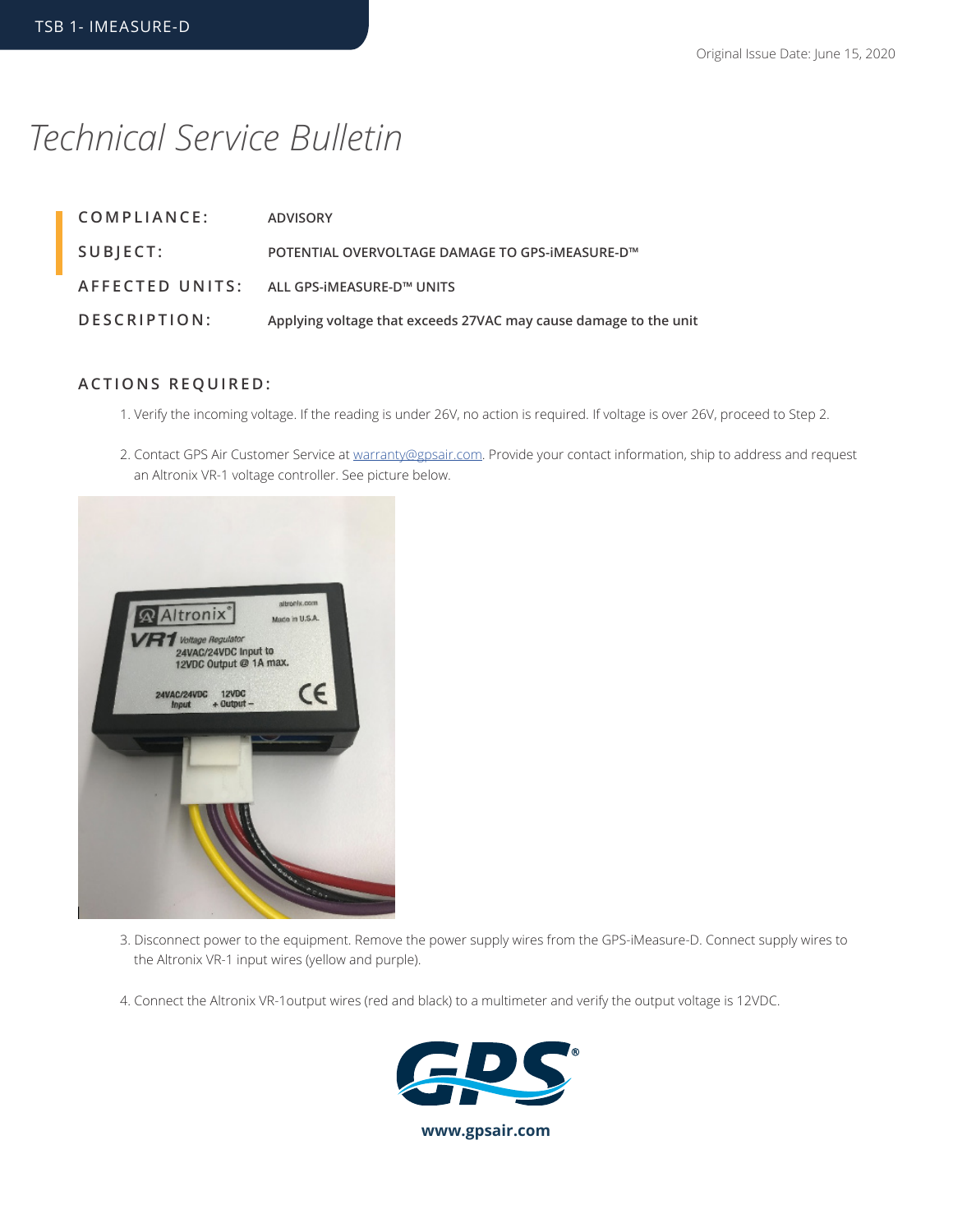## *Technical Service Bulletin*

| COMPLIANCE:  | <b>ADVISORY</b>                                                  |
|--------------|------------------------------------------------------------------|
| SUBJECT:     | POTENTIAL OVERVOLTAGE DAMAGE TO GPS-IMEASURE-D™                  |
|              | AFFECTED UNITS: ALL GPS-IMEASURE-D™ UNITS                        |
| DESCRIPTION: | Applying voltage that exceeds 27VAC may cause damage to the unit |

## **ACTIONS REQUIRED:**

- 1. Verify the incoming voltage. If the reading is under 26V, no action is required. If voltage is over 26V, proceed to Step 2.
- 2. Contact GPS Air Customer Service at warranty@gpsair.com. Provide your contact information, ship to address and request an Altronix VR-1 voltage controller. See picture below.



- 3. Disconnect power to the equipment. Remove the power supply wires from the GPS-iMeasure-D. Connect supply wires to the Altronix VR-1 input wires (yellow and purple).
- 4. Connect the Altronix VR-1output wires (red and black) to a multimeter and verify the output voltage is 12VDC.